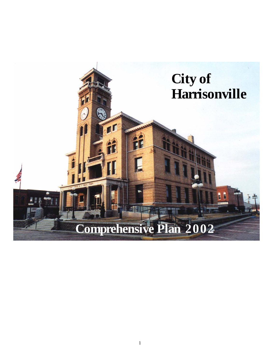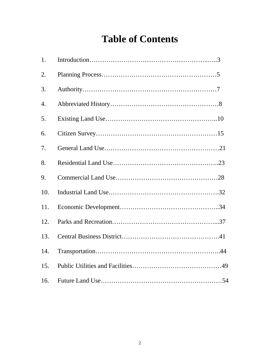# **Table of Contents**

| 1.  |  |
|-----|--|
| 2.  |  |
| 3.  |  |
| 4.  |  |
| 5.  |  |
| 6.  |  |
| 7.  |  |
| 8.  |  |
| 9.  |  |
| 10. |  |
| 11. |  |
| 12. |  |
| 13. |  |
| 14. |  |
| 15. |  |
| 16. |  |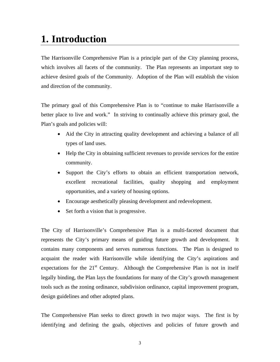# **1. Introduction**

The Harrisonville Comprehensive Plan is a principle part of the City planning process, which involves all facets of the community. The Plan represents an important step to achieve desired goals of the Community. Adoption of the Plan will establish the vision and direction of the community.

The primary goal of this Comprehensive Plan is to "continue to make Harrisonville a better place to live and work." In striving to continually achieve this primary goal, the Plan's goals and policies will:

- Aid the City in attracting quality development and achieving a balance of all types of land uses.
- Help the City in obtaining sufficient revenues to provide services for the entire community.
- Support the City's efforts to obtain an efficient transportation network, excellent recreational facilities, quality shopping and employment opportunities, and a variety of housing options.
- Encourage aesthetically pleasing development and redevelopment.
- Set forth a vision that is progressive.

The City of Harrisonville's Comprehensive Plan is a multi-faceted document that represents the City's primary means of guiding future growth and development. It contains many components and serves numerous functions. The Plan is designed to acquaint the reader with Harrisonville while identifying the City's aspirations and expectations for the  $21<sup>st</sup>$  Century. Although the Comprehensive Plan is not in itself legally binding, the Plan lays the foundations for many of the City's growth management tools such as the zoning ordinance, subdivision ordinance, capital improvement program, design guidelines and other adopted plans.

The Comprehensive Plan seeks to direct growth in two major ways. The first is by identifying and defining the goals, objectives and policies of future growth and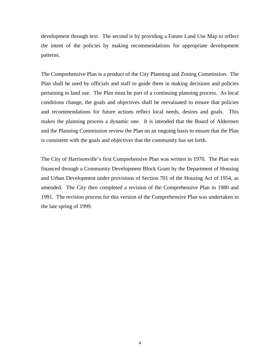development through text. The second is by providing a Future Land Use Map to reflect the intent of the policies by making recommendations for appropriate development patterns.

The Comprehensive Plan is a product of the City Planning and Zoning Commission. The Plan shall be used by officials and staff to guide them in making decisions and policies pertaining to land use. The Plan must be part of a continuing planning process. As local conditions change, the goals and objectives shall be reevaluated to ensure that policies and recommendations for future actions reflect local needs, desires and goals. This makes the planning process a dynamic one. It is intended that the Board of Aldermen and the Planning Commission review the Plan on an ongoing basis to ensure that the Plan is consistent with the goals and objectives that the community has set forth.

The City of Harrisonville's first Comprehensive Plan was written in 1970. The Plan was financed through a Community Development Block Grant by the Department of Housing and Urban Development under provisions of Section 701 of the Housing Act of 1954, as amended. The City then completed a revision of the Comprehensive Plan in 1980 and 1991. The revision process for this version of the Comprehensive Plan was undertaken in the late spring of 1999.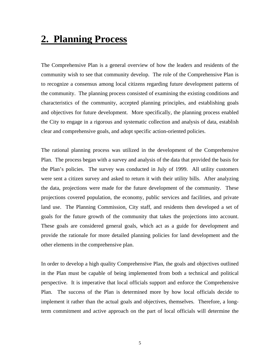# **2. Planning Process**

The Comprehensive Plan is a general overview of how the leaders and residents of the community wish to see that community develop. The role of the Comprehensive Plan is to recognize a consensus among local citizens regarding future development patterns of the community. The planning process consisted of examining the existing conditions and characteristics of the community, accepted planning principles, and establishing goals and objectives for future development. More specifically, the planning process enabled the City to engage in a rigorous and systematic collection and analysis of data, establish clear and comprehensive goals, and adopt specific action-oriented policies.

The rational planning process was utilized in the development of the Comprehensive Plan. The process began with a survey and analysis of the data that provided the basis for the Plan's policies. The survey was conducted in July of 1999. All utility customers were sent a citizen survey and asked to return it with their utility bills. After analyzing the data, projections were made for the future development of the community. These projections covered population, the economy, public services and facilities, and private land use. The Planning Commission, City staff, and residents then developed a set of goals for the future growth of the community that takes the projections into account. These goals are considered general goals, which act as a guide for development and provide the rationale for more detailed planning policies for land development and the other elements in the comprehensive plan.

In order to develop a high quality Comprehensive Plan, the goals and objectives outlined in the Plan must be capable of being implemented from both a technical and political perspective. It is imperative that local officials support and enforce the Comprehensive Plan. The success of the Plan is determined more by how local officials decide to implement it rather than the actual goals and objectives, themselves. Therefore, a longterm commitment and active approach on the part of local officials will determine the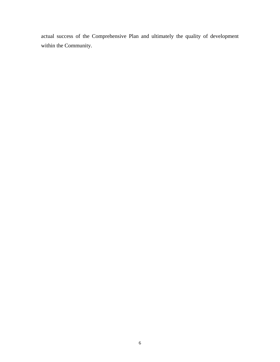actual success of the Comprehensive Plan and ultimately the quality of development within the Community.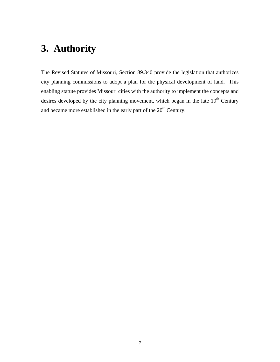# **3. Authority**

The Revised Statutes of Missouri, Section 89.340 provide the legislation that authorizes city planning commissions to adopt a plan for the physical development of land. This enabling statute provides Missouri cities with the authority to implement the concepts and desires developed by the city planning movement, which began in the late  $19<sup>th</sup>$  Century and became more established in the early part of the  $20<sup>th</sup>$  Century.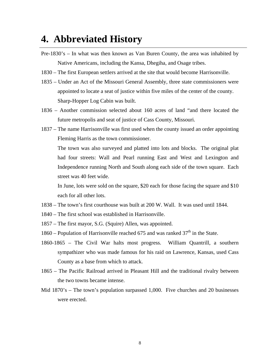# **4. Abbreviated History**

- Pre-1830's In what was then known as Van Buren County, the area was inhabited by Native Americans, including the Kansa, Dhegiha, and Osage tribes.
- 1830 The first European settlers arrived at the site that would become Harrisonville.
- 1835 Under an Act of the Missouri General Assembly, three state commissioners were appointed to locate a seat of justice within five miles of the center of the county. Sharp-Hopper Log Cabin was built.
- 1836 Another commission selected about 160 acres of land "and there located the future metropolis and seat of justice of Cass County, Missouri.
- 1837 The name Harrisonville was first used when the county issued an order appointing Fleming Harris as the town commissioner.

The town was also surveyed and platted into lots and blocks. The original plat had four streets: Wall and Pearl running East and West and Lexington and Independence running North and South along each side of the town square. Each street was 40 feet wide.

 In June, lots were sold on the square, \$20 each for those facing the square and \$10 each for all other lots.

- 1838 The town's first courthouse was built at 200 W. Wall. It was used until 1844.
- 1840 The first school was established in Harrisonville.
- 1857 The first mayor, S.G. (Squire) Allen, was appointed.
- 1860 Population of Harrisonville reached 675 and was ranked  $37<sup>th</sup>$  in the State.
- 1860-1865 The Civil War halts most progress. William Quantrill, a southern sympathizer who was made famous for his raid on Lawrence, Kansas, used Cass County as a base from which to attack.
- 1865 The Pacific Railroad arrived in Pleasant Hill and the traditional rivalry between the two towns became intense.
- Mid 1870's The town's population surpassed 1,000. Five churches and 20 businesses were erected.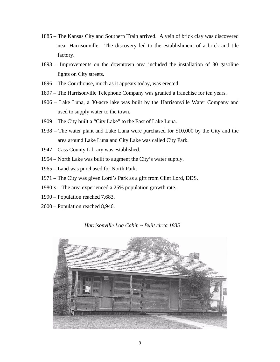- 1885 The Kansas City and Southern Train arrived. A vein of brick clay was discovered near Harrisonville. The discovery led to the establishment of a brick and tile factory.
- 1893 Improvements on the downtown area included the installation of 30 gasoline lights on City streets.
- 1896 The Courthouse, much as it appears today, was erected.
- 1897 The Harrisonville Telephone Company was granted a franchise for ten years.
- 1906 Lake Luna, a 30-acre lake was built by the Harrisonville Water Company and used to supply water to the town.
- 1909 The City built a "City Lake" to the East of Lake Luna.
- 1938 The water plant and Lake Luna were purchased for \$10,000 by the City and the area around Lake Luna and City Lake was called City Park.
- 1947 Cass County Library was established.
- 1954 North Lake was built to augment the City's water supply.
- 1965 Land was purchased for North Park.
- 1971 The City was given Lord's Park as a gift from Clint Lord, DDS.
- 1980's The area experienced a 25% population growth rate.
- 1990 Population reached 7,683.
- 2000 Population reached 8,946.

#### *Harrisonville Log Cabin ~ Built circa 1835*

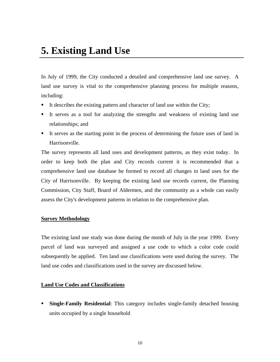In July of 1999, the City conducted a detailed and comprehensive land use survey. A land use survey is vital to the comprehensive planning process for multiple reasons, including:

- It describes the existing pattern and character of land use within the City;
- It serves as a tool for analyzing the strengths and weakness of existing land use relationships; and
- It serves as the starting point in the process of determining the future uses of land in Harrisonville.

The survey represents all land uses and development patterns, as they exist today. In order to keep both the plan and City records current it is recommended that a comprehensive land use database be formed to record all changes in land uses for the City of Harrisonville. By keeping the existing land use records current, the Planning Commission, City Staff, Board of Aldermen, and the community as a whole can easily assess the City's development patterns in relation to the comprehensive plan.

#### **Survey Methodology**

The existing land use study was done during the month of July in the year 1999. Every parcel of land was surveyed and assigned a use code to which a color code could subsequently be applied. Ten land use classifications were used during the survey. The land use codes and classifications used in the survey are discussed below.

#### **Land Use Codes and Classifications**

 **Single-Family Residential**: This category includes single-family detached housing units occupied by a single household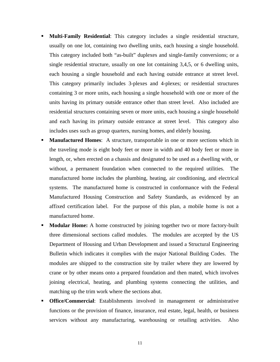- **Multi-Family Residential**: This category includes a single residential structure, usually on one lot, containing two dwelling units, each housing a single household. This category included both "as-built" duplexes and single-family conversions; or a single residential structure, usually on one lot containing 3,4,5, or 6 dwelling units, each housing a single household and each having outside entrance at street level. This category primarily includes 3-plexes and 4-plexes; or residential structures containing 3 or more units, each housing a single household with one or more of the units having its primary outside entrance other than street level. Also included are residential structures containing seven or more units, each housing a single household and each having its primary outside entrance at street level. This category also includes uses such as group quarters, nursing homes, and elderly housing.
- **Manufactured Homes**: A structure, transportable in one or more sections which in the traveling mode is eight body feet or more in width and 40 body feet or more in length, or, when erected on a chassis and designated to be used as a dwelling with, or without, a permanent foundation when connected to the required utilities. The manufactured home includes the plumbing, heating, air conditioning, and electrical systems. The manufactured home is constructed in conformance with the Federal Manufactured Housing Construction and Safety Standards, as evidenced by an affixed certification label. For the purpose of this plan, a mobile home is not a manufactured home.
- **Modular Home:** A home constructed by joining together two or more factory-built three dimensional sections called modules. The modules are accepted by the US Department of Housing and Urban Development and issued a Structural Engineering Bulletin which indicates it complies with the major National Building Codes. The modules are shipped to the construction site by trailer where they are lowered by crane or by other means onto a prepared foundation and then mated, which involves joining electrical, heating, and plumbing systems connecting the utilities, and matching up the trim work where the sections abut.
- **Office/Commercial**: Establishments involved in management or administrative functions or the provision of finance, insurance, real estate, legal, health, or business services without any manufacturing, warehousing or retailing activities. Also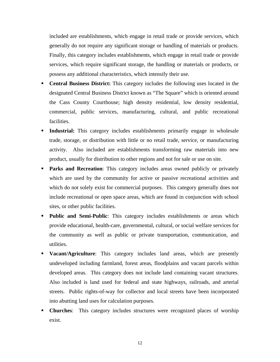included are establishments, which engage in retail trade or provide services, which generally do not require any significant storage or handling of materials or products. Finally, this category includes establishments, which engage in retail trade or provide services, which require significant storage, the handling or materials or products, or possess any additional characteristics, which intensify their use.

- **Central Business District:** This category includes the following uses located in the designated Central Business District known as "The Square" which is oriented around the Cass County Courthouse; high density residential, low density residential, commercial, public services, manufacturing, cultural, and public recreational facilities.
- **Industrial:** This category includes establishments primarily engage in wholesale trade, storage, or distribution with little or no retail trade, service, or manufacturing activity. Also included are establishments transforming raw materials into new product, usually for distribution to other regions and not for sale or use on site.
- **Parks and Recreation**: This category includes areas owned publicly or privately which are used by the community for active or passive recreational activities and which do not solely exist for commercial purposes. This category generally does not include recreational or open space areas, which are found in conjunction with school sites, or other public facilities.
- **Public and Semi-Public**: This category includes establishments or areas which provide educational, health-care, governmental, cultural, or social welfare services for the community as well as public or private transportation, communication, and utilities.
- **Vacant/Agriculture**: This category includes land areas, which are presently undeveloped including farmland, forest areas, floodplains and vacant parcels within developed areas. This category does not include land containing vacant structures. Also included is land used for federal and state highways, railroads, and arterial streets. Public rights-of-way for collector and local streets have been incorporated into abutting land uses for calculation purposes.
- **Churches**: This category includes structures were recognized places of worship exist.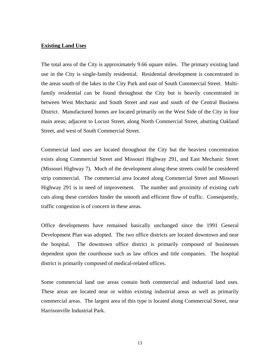#### **Existing Land Uses**

The total area of the City is approximately 9.66 square miles. The primary existing land use in the City is single-family residential. Residential development is concentrated in the areas south of the lakes in the City Park and east of South Commercial Street. Multifamily residential can be found throughout the City but is heavily concentrated in between West Mechanic and South Street and east and south of the Central Business District. Manufactured homes are located primarily on the West Side of the City in four main areas; adjacent to Locust Street, along North Commercial Street, abutting Oakland Street, and west of South Commercial Street.

Commercial land uses are located throughout the City but the heaviest concentration exists along Commercial Street and Missouri Highway 291, and East Mechanic Street (Missouri Highway 7). Much of the development along these streets could be considered strip commercial. The commercial area located along Commercial Street and Missouri Highway 291 is in need of improvement. The number and proximity of existing curb cuts along these corridors hinder the smooth and efficient flow of traffic. Consequently, traffic congestion is of concern in these areas.

Office developments have remained basically unchanged since the 1991 General Development Plan was adopted. The two office districts are located downtown and near the hospital. The downtown office district is primarily composed of businesses dependent upon the courthouse such as law offices and title companies. The hospital district is primarily composed of medical-related offices.

Some commercial land use areas contain both commercial and industrial land uses. These areas are located near or within existing industrial areas as well as primarily commercial areas. The largest area of this type is located along Commercial Street, near Harrisonville Industrial Park.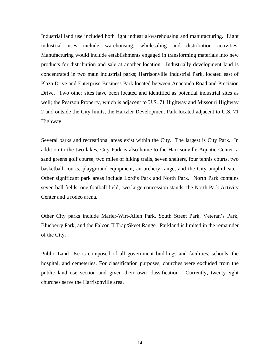Industrial land use included both light industrial/warehousing and manufacturing. Light industrial uses include warehousing, wholesaling and distribution activities. Manufacturing would include establishments engaged in transforming materials into new products for distribution and sale at another location. Industrially development land is concentrated in two main industrial parks; Harrisonville Industrial Park, located east of Plaza Drive and Enterprise Business Park located between Anaconda Road and Precision Drive. Two other sites have been located and identified as potential industrial sites as well; the Pearson Property, which is adjacent to U.S. 71 Highway and Missouri Highway 2 and outside the City limits, the Hartzler Development Park located adjacent to U.S. 71 Highway.

Several parks and recreational areas exist within the City. The largest is City Park. In addition to the two lakes, City Park is also home to the Harrisonville Aquatic Center, a sand greens golf course, two miles of hiking trails, seven shelters, four tennis courts, two basketball courts, playground equipment, an archery range, and the City amphitheater. Other significant park areas include Lord's Park and North Park. North Park contains seven ball fields, one football field, two large concession stands, the North Park Activity Center and a rodeo arena.

Other City parks include Marler-Wirt-Allen Park, South Street Park, Veteran's Park, Blueberry Park, and the Falcon II Trap/Skeet Range. Parkland is limited in the remainder of the City.

Public Land Use is composed of all government buildings and facilities, schools, the hospital, and cemeteries. For classification purposes, churches were excluded from the public land use section and given their own classification. Currently, twenty-eight churches serve the Harrisonville area.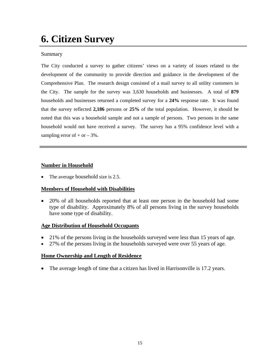# **6. Citizen Survey**

### Summary

The City conducted a survey to gather citizens' views on a variety of issues related to the development of the community to provide direction and guidance in the development of the Comprehensive Plan. The research design consisted of a mail survey to all utility customers in the City. The sample for the survey was 3,630 households and businesses. A total of **879**  households and businesses returned a completed survey for a **24%** response rate. It was found that the survey reflected **2,186** persons or **25%** of the total population. However, it should be noted that this was a household sample and not a sample of persons. Two persons in the same household would not have received a survey. The survey has a 95% confidence level with a sampling error of  $+$  or  $-3\%$ .

# **Number in Household**

• The average household size is 2.5.

# **Members of Household with Disabilities**

• 20% of all households reported that at least one person in the household had some type of disability. Approximately 8% of all persons living in the survey households have some type of disability.

# **Age Distribution of Household Occupants**

- 21% of the persons living in the households surveyed were less than 15 years of age.
- 27% of the persons living in the households surveyed were over 55 years of age.

# **Home Ownership and Length of Residence**

• The average length of time that a citizen has lived in Harrisonville is 17.2 years.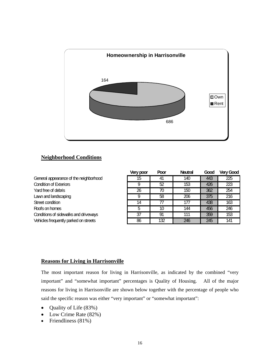

#### **Neighborhood Conditions**

|                                        | Very poor | Poor | <b>Neutral</b> | Good | <b>Very Good</b> |
|----------------------------------------|-----------|------|----------------|------|------------------|
| General appearance of the neighborhood | 15        | 41   | 140            | 443  | 225              |
| <b>Condition of Exteriors</b>          | 9         | 52   | 153            | 426  | 223              |
| Yard free of debris                    | 26        | 70   | 150            | 362  | 254              |
| Lawn and landscaping                   | 9         | 58   | 206            | 375  | 216              |
| Street condition                       | 14        | 77   | 177            | 438  | 163              |
| Roofs on homes                         | 5         | 10   | 144            | 456  | 246              |
| Conditions of sidewalks and driveways  | 37        | 91   | 111            | 359  | 153              |
| Vehicles frequently parked on streets  | 86        | 132  | 246            | 245  | 141              |

#### **Reasons for Living in Harrisonville**

The most important reason for living in Harrisonville, as indicated by the combined "very important" and "somewhat important" percentages is Quality of Housing. All of the major reasons for living in Harrisonville are shown below together with the percentage of people who said the specific reason was either "very important" or "somewhat important":

- Quality of Life (83%)
- Low Crime Rate (82%)
- Friendliness (81%)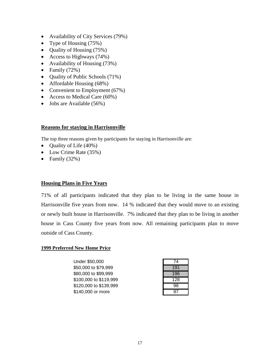- Availability of City Services (79%)
- Type of Housing (75%)
- Quality of Housing (75%)
- Access to Highways (74%)
- Availability of Housing (73%)
- Family  $(72%)$
- Quality of Public Schools (71%)
- Affordable Housing (68%)
- Convenient to Employment (67%)
- Access to Medical Care (60%)
- Jobs are Available (56%)

### **Reasons for staying in Harrisonville**

The top three reasons given by participants for staying in Harrisonville are:

- Quality of Life (40%)
- Low Crime Rate (35%)
- Family  $(32%)$

#### **Housing Plans in Five Years**

71% of all participants indicated that they plan to be living in the same house in Harrisonville five years from now. 14 % indicated that they would move to an existing or newly built house in Harrisonville. 7% indicated that they plan to be living in another house in Cass County five years from now. All remaining participants plan to move outside of Cass County.

#### **1999 Preferred New Home Price**

| Under \$50,000         | 7Δ  |
|------------------------|-----|
| \$50,000 to \$79,999   | 191 |
| \$80,000 to \$99,999   | 196 |
| \$100,000 to \$119,999 | 128 |
| \$120,000 to \$139,999 |     |
| \$140,000 or more      |     |
|                        |     |

| 74  |
|-----|
| 191 |
| 196 |
| 128 |
| 98  |
| 97  |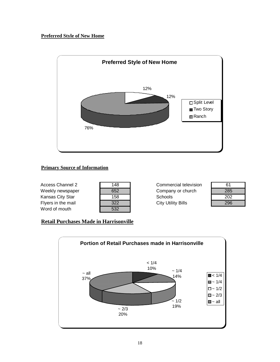### **Preferred Style of New Home**



# **Primary Source of Information**

| Access Channel 2   | 148 | Commercial television     | 61  |
|--------------------|-----|---------------------------|-----|
| Weekly newspaper   | 652 | Company or church         | 285 |
| Kansas City Star   | 158 | Schools                   | 202 |
| Flyers in the mail | 322 | <b>City Utility Bills</b> | 296 |
| Word of mouth      | 532 |                           |     |

| Commercial television     |
|---------------------------|
| Company or church         |
| Schools                   |
| <b>City Utility Bills</b> |

| 61  |
|-----|
| 285 |
| 202 |
| 296 |

# **Retail Purchases Made in Harrisonville**

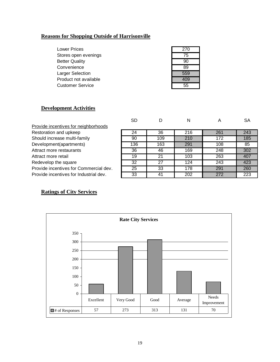# **Reasons for Shopping Outside of Harrisonville**

| <b>Lower Prices</b>   | 270 |
|-----------------------|-----|
| Stores open evenings  | 75  |
| <b>Better Quality</b> | 90  |
| Convenience           | 89  |
| Larger Selection      | 559 |
| Product not available | 409 |
| Customer Service      | 55  |
|                       |     |

# **Development Activities**

|                                        | SD  |     |     | А   | SА  |
|----------------------------------------|-----|-----|-----|-----|-----|
| Provide incentives for neighborhoods   |     |     |     |     |     |
| Restoration and upkeep                 | 24  | 36  | 216 | 261 | 243 |
| Should increase multi-family           | 90  | 109 | 210 | 172 | 185 |
| Development(apartments)                | 136 | 163 | 291 | 108 | 85  |
| Attract more restaurants               | 36  | 46  | 169 | 248 | 302 |
| Attract more retail                    | 19  | 21  | 103 | 263 | 407 |
| Redevelop the square                   | 32  | 27  | 124 | 243 | 423 |
| Provide incentives for Commercial dev. | 25  | 33  | 178 | 291 | 260 |
| Provide incentives for Industrial dev. | 33  | 41  | 202 | 272 | 223 |

# **Ratings of City Services**

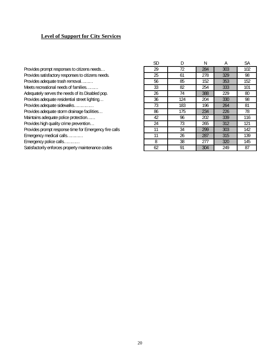#### **Level of Support for City Services**

Provides prompt responses to citizens needs... Provides satisfactory responses to citizens needs. Provides adequate trash removal……… Meets recreational needs of families........ Adequately serves the needs of its Disabled pop. Provides adequate residential street lighting... Provides adequate sidewalks............. Provides adequate storm drainage facilities... Maintains adequate police protection…… Provides high quality crime prevention... Provides prompt response time for Emergency fire calls Emergency medical calls………… Emergency police calls………… Satisfactorily enforces property maintenance codes

| <b>SD</b>       | D                         | N                | Α   | <b>SA</b>        |
|-----------------|---------------------------|------------------|-----|------------------|
| $\overline{29}$ | $\overline{72}$           | 284              | 303 | 102              |
| $\overline{25}$ | 61                        | 278              | 329 | 98               |
| $\overline{56}$ | $\overline{\text{85}}$    | 152              | 353 | 152              |
| 33              | 82                        | 254              | 333 | 101              |
| $\overline{26}$ | $\overline{74}$           | 388              | 229 | $\overline{80}$  |
| $\overline{36}$ | 124                       | 204              | 330 | 98               |
| $\overline{73}$ | $\overline{183}$          | 196              | 264 | 81               |
| 86              | 175                       | 234              | 226 | 78               |
| 42              | 96                        | 202              | 339 | 116              |
| $\overline{24}$ | $\overline{73}$           | 265              | 312 | 121              |
| $\overline{11}$ | 34                        | 299              | 303 | $\overline{142}$ |
| $\overline{11}$ | 26                        | 287              | 315 | 139              |
| 8               | $\overline{\frac{38}{5}}$ | $\overline{277}$ | 320 | 145              |
| 62              | 91                        | 304              | 249 | 87               |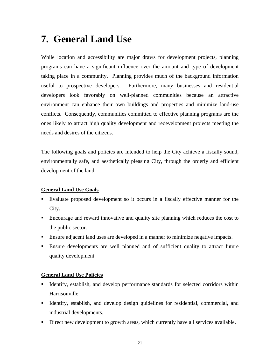# **7. General Land Use**

While location and accessibility are major draws for development projects, planning programs can have a significant influence over the amount and type of development taking place in a community. Planning provides much of the background information useful to prospective developers. Furthermore, many businesses and residential developers look favorably on well-planned communities because an attractive environment can enhance their own buildings and properties and minimize land-use conflicts. Consequently, communities committed to effective planning programs are the ones likely to attract high quality development and redevelopment projects meeting the needs and desires of the citizens.

The following goals and policies are intended to help the City achieve a fiscally sound, environmentally safe, and aesthetically pleasing City, through the orderly and efficient development of the land.

# **General Land Use Goals**

- Evaluate proposed development so it occurs in a fiscally effective manner for the City.
- Encourage and reward innovative and quality site planning which reduces the cost to the public sector.
- Ensure adjacent land uses are developed in a manner to minimize negative impacts.
- Ensure developments are well planned and of sufficient quality to attract future quality development.

# **General Land Use Policies**

- Identify, establish, and develop performance standards for selected corridors within Harrisonville.
- Identify, establish, and develop design guidelines for residential, commercial, and industrial developments.
- Direct new development to growth areas, which currently have all services available.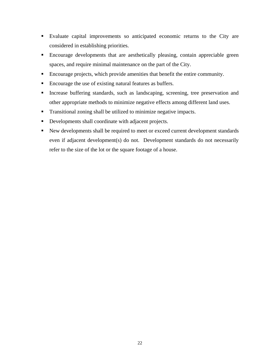- Evaluate capital improvements so anticipated economic returns to the City are considered in establishing priorities.
- Encourage developments that are aesthetically pleasing, contain appreciable green spaces, and require minimal maintenance on the part of the City.
- Encourage projects, which provide amenities that benefit the entire community.
- Encourage the use of existing natural features as buffers.
- Increase buffering standards, such as landscaping, screening, tree preservation and other appropriate methods to minimize negative effects among different land uses.
- **Transitional zoning shall be utilized to minimize negative impacts.**
- Developments shall coordinate with adjacent projects.
- New developments shall be required to meet or exceed current development standards even if adjacent development(s) do not. Development standards do not necessarily refer to the size of the lot or the square footage of a house.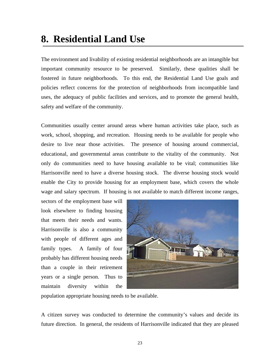# **8. Residential Land Use**

The environment and livability of existing residential neighborhoods are an intangible but important community resource to be preserved. Similarly, these qualities shall be fostered in future neighborhoods. To this end, the Residential Land Use goals and policies reflect concerns for the protection of neighborhoods from incompatible land uses, the adequacy of public facilities and services, and to promote the general health, safety and welfare of the community.

Communities usually center around areas where human activities take place, such as work, school, shopping, and recreation. Housing needs to be available for people who desire to live near those activities. The presence of housing around commercial, educational, and governmental areas contribute to the vitality of the community. Not only do communities need to have housing available to be vital; communities like Harrisonville need to have a diverse housing stock. The diverse housing stock would enable the City to provide housing for an employment base, which covers the whole wage and salary spectrum. If housing is not available to match different income ranges,

sectors of the employment base will look elsewhere to finding housing that meets their needs and wants. Harrisonville is also a community with people of different ages and family types. A family of four probably has different housing needs than a couple in their retirement years or a single person. Thus to maintain diversity within the



population appropriate housing needs to be available.

A citizen survey was conducted to determine the community's values and decide its future direction. In general, the residents of Harrisonville indicated that they are pleased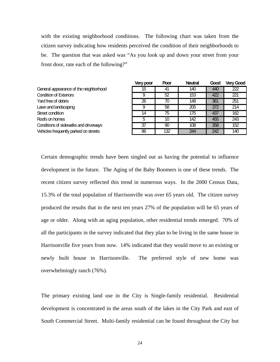with the existing neighborhood conditions. The following chart was taken from the citizen survey indicating how residents perceived the condition of their neighborhoods to be. The question that was asked was "As you look up and down your street from your front door, rate each of the following?"

|                                        | Very poor | Poor | <b>Neutral</b> | Good | <b>Very Good</b> |
|----------------------------------------|-----------|------|----------------|------|------------------|
| General appearance of the neighborhood | 15        | 41   | 140            | 440  | 222              |
| <b>Condition of Exteriors</b>          | 9         | 52   | 153            | 422  | 221              |
| Yard free of debris                    | 26        | 70   | 148            | 361  | 251              |
| Lawn and landscaping                   | 9         | 58   | 205            | 372  | 214              |
| Street condition                       | 14        | 75   | 175            | 437  | 162              |
| Roofs on homes                         | 5         | 10   | 142            | 455  | 243              |
| Conditions of sidewalks and driveways  | 37        | 90   | 108            | 358  | 152              |
| Vehicles frequently parked on streets  | 86        | 132  | 244            | 242  | 140              |

Certain demographic trends have been singled out as having the potential to influence development in the future. The Aging of the Baby Boomers is one of these trends. The recent citizen survey reflected this trend in numerous ways. In the 2000 Census Data, 15.3% of the total population of Harrisonville was over 65 years old. The citizen survey produced the results that in the next ten years 27% of the population will be 65 years of age or older. Along with an aging population, other residential trends emerged. 70% of all the participants in the survey indicated that they plan to be living in the same house in Harrisonville five years from now. 14% indicated that they would move to an existing or newly built house in Harrisonville. The preferred style of new home was overwhelmingly ranch (76%).

The primary existing land use in the City is Single-family residential. Residential development is concentrated in the areas south of the lakes in the City Park and east of South Commercial Street. Multi-family residential can be found throughout the City but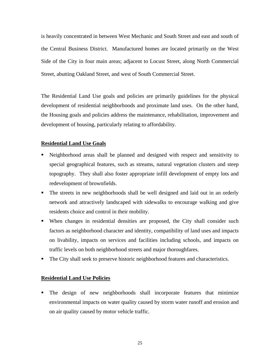is heavily concentrated in between West Mechanic and South Street and east and south of the Central Business District. Manufactured homes are located primarily on the West Side of the City in four main areas; adjacent to Locust Street, along North Commercial Street, abutting Oakland Street, and west of South Commercial Street.

The Residential Land Use goals and policies are primarily guidelines for the physical development of residential neighborhoods and proximate land uses. On the other hand, the Housing goals and policies address the maintenance, rehabilitation, improvement and development of housing, particularly relating to affordability.

#### **Residential Land Use Goals**

- Neighborhood areas shall be planned and designed with respect and sensitivity to special geographical features, such as streams, natural vegetation clusters and steep topography. They shall also foster appropriate infill development of empty lots and redevelopment of brownfields.
- The streets in new neighborhoods shall be well designed and laid out in an orderly network and attractively landscaped with sidewalks to encourage walking and give residents choice and control in their mobility.
- When changes in residential densities are proposed, the City shall consider such factors as neighborhood character and identity, compatibility of land uses and impacts on livability, impacts on services and facilities including schools, and impacts on traffic levels on both neighborhood streets and major thoroughfares.
- The City shall seek to preserve historic neighborhood features and characteristics.

#### **Residential Land Use Policies**

 The design of new neighborhoods shall incorporate features that minimize environmental impacts on water quality caused by storm water runoff and erosion and on air quality caused by motor vehicle traffic.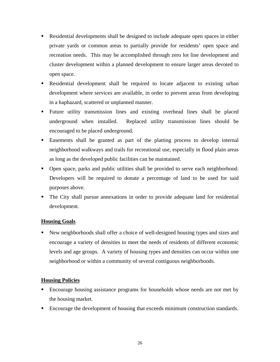- Residential developments shall be designed to include adequate open spaces in either private yards or common areas to partially provide for residents' open space and recreation needs. This may be accomplished through zero lot line development and cluster development within a planned development to ensure larger areas devoted to open space.
- Residential development shall be required to locate adjacent to existing urban development where services are available, in order to prevent areas from developing in a haphazard, scattered or unplanned manner.
- Future utility transmission lines and existing overhead lines shall be placed underground when installed. Replaced utility transmission lines should be encouraged to be placed underground.
- Easements shall be granted as part of the platting process to develop internal neighborhood walkways and trails for recreational use, especially in flood plain areas as long as the developed public facilities can be maintained.
- Open space, parks and public utilities shall be provided to serve each neighborhood. Developers will be required to donate a percentage of land to be used for said purposes above.
- The City shall pursue annexations in order to provide adequate land for residential development.

# **Housing Goals**

 New neighborhoods shall offer a choice of well-designed housing types and sizes and encourage a variety of densities to meet the needs of residents of different economic levels and age groups. A variety of housing types and densities can occur within one neighborhood or within a community of several contiguous neighborhoods.

# **Housing Policies**

- Encourage housing assistance programs for households whose needs are not met by the housing market.
- Encourage the development of housing that exceeds minimum construction standards.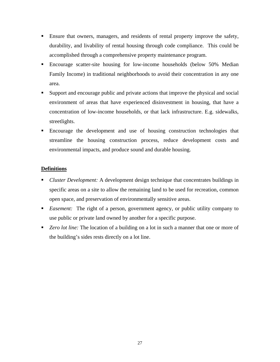- Ensure that owners, managers, and residents of rental property improve the safety, durability, and livability of rental housing through code compliance. This could be accomplished through a comprehensive property maintenance program.
- Encourage scatter-site housing for low-income households (below 50% Median Family Income) in traditional neighborhoods to avoid their concentration in any one area.
- Support and encourage public and private actions that improve the physical and social environment of areas that have experienced disinvestment in housing, that have a concentration of low-income households, or that lack infrastructure. E.g. sidewalks, streetlights.
- Encourage the development and use of housing construction technologies that streamline the housing construction process, reduce development costs and environmental impacts, and produce sound and durable housing.

# **Definitions**

- *Cluster Development:* A development design technique that concentrates buildings in specific areas on a site to allow the remaining land to be used for recreation, common open space, and preservation of environmentally sensitive areas.
- *Easement:* The right of a person, government agency, or public utility company to use public or private land owned by another for a specific purpose.
- *Zero lot line:* The location of a building on a lot in such a manner that one or more of the building's sides rests directly on a lot line.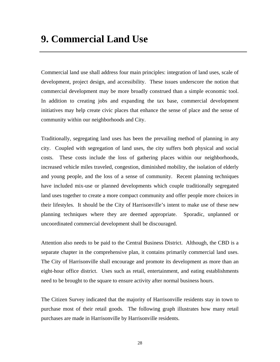Commercial land use shall address four main principles: integration of land uses, scale of development, project design, and accessibility. These issues underscore the notion that commercial development may be more broadly construed than a simple economic tool. In addition to creating jobs and expanding the tax base, commercial development initiatives may help create civic places that enhance the sense of place and the sense of community within our neighborhoods and City.

Traditionally, segregating land uses has been the prevailing method of planning in any city. Coupled with segregation of land uses, the city suffers both physical and social costs. These costs include the loss of gathering places within our neighborhoods, increased vehicle miles traveled, congestion, diminished mobility, the isolation of elderly and young people, and the loss of a sense of community. Recent planning techniques have included mix-use or planned developments which couple traditionally segregated land uses together to create a more compact community and offer people more choices in their lifestyles. It should be the City of Harrisonville's intent to make use of these new planning techniques where they are deemed appropriate. Sporadic, unplanned or uncoordinated commercial development shall be discouraged.

Attention also needs to be paid to the Central Business District. Although, the CBD is a separate chapter in the comprehensive plan, it contains primarily commercial land uses. The City of Harrisonville shall encourage and promote its development as more than an eight-hour office district. Uses such as retail, entertainment, and eating establishments need to be brought to the square to ensure activity after normal business hours.

The Citizen Survey indicated that the majority of Harrisonville residents stay in town to purchase most of their retail goods. The following graph illustrates how many retail purchases are made in Harrisonville by Harrisonville residents.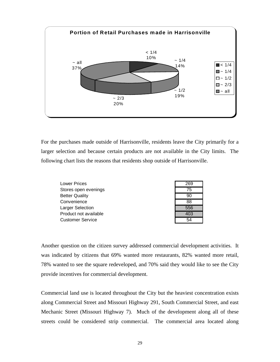

For the purchases made outside of Harrisonville, residents leave the City primarily for a larger selection and because certain products are not available in the City limits. The following chart lists the reasons that residents shop outside of Harrisonville.

| <b>Lower Prices</b>     | 269 |
|-------------------------|-----|
| Stores open evenings    | 75  |
| <b>Better Quality</b>   | 90  |
| Convenience             | 88  |
| Larger Selection        | 556 |
| Product not available   | 403 |
| <b>Customer Service</b> | 54  |

Another question on the citizen survey addressed commercial development activities. It was indicated by citizens that 69% wanted more restaurants, 82% wanted more retail, 78% wanted to see the square redeveloped, and 70% said they would like to see the City provide incentives for commercial development.

Commercial land use is located throughout the City but the heaviest concentration exists along Commercial Street and Missouri Highway 291, South Commercial Street, and east Mechanic Street (Missouri Highway 7). Much of the development along all of these streets could be considered strip commercial. The commercial area located along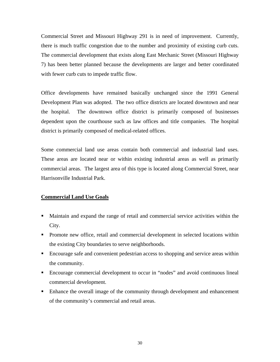Commercial Street and Missouri Highway 291 is in need of improvement. Currently, there is much traffic congestion due to the number and proximity of existing curb cuts. The commercial development that exists along East Mechanic Street (Missouri Highway 7) has been better planned because the developments are larger and better coordinated with fewer curb cuts to impede traffic flow.

Office developments have remained basically unchanged since the 1991 General Development Plan was adopted. The two office districts are located downtown and near the hospital. The downtown office district is primarily composed of businesses dependent upon the courthouse such as law offices and title companies. The hospital district is primarily composed of medical-related offices.

Some commercial land use areas contain both commercial and industrial land uses. These areas are located near or within existing industrial areas as well as primarily commercial areas. The largest area of this type is located along Commercial Street, near Harrisonville Industrial Park.

#### **Commercial Land Use Goals**

- Maintain and expand the range of retail and commercial service activities within the City.
- Promote new office, retail and commercial development in selected locations within the existing City boundaries to serve neighborhoods.
- Encourage safe and convenient pedestrian access to shopping and service areas within the community.
- Encourage commercial development to occur in "nodes" and avoid continuous lineal commercial development.
- Enhance the overall image of the community through development and enhancement of the community's commercial and retail areas.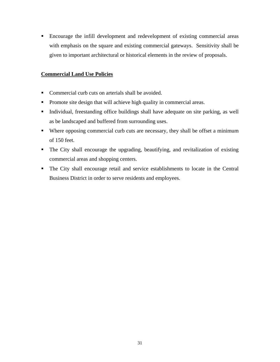Encourage the infill development and redevelopment of existing commercial areas with emphasis on the square and existing commercial gateways. Sensitivity shall be given to important architectural or historical elements in the review of proposals.

# **Commercial Land Use Policies**

- Commercial curb cuts on arterials shall be avoided.
- Promote site design that will achieve high quality in commercial areas.
- Individual, freestanding office buildings shall have adequate on site parking, as well as be landscaped and buffered from surrounding uses.
- Where opposing commercial curb cuts are necessary, they shall be offset a minimum of 150 feet.
- The City shall encourage the upgrading, beautifying, and revitalization of existing commercial areas and shopping centers.
- The City shall encourage retail and service establishments to locate in the Central Business District in order to serve residents and employees.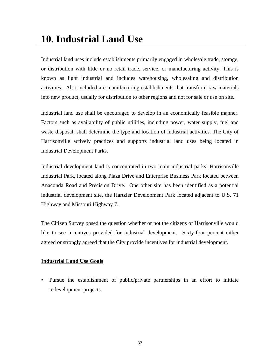# **10. Industrial Land Use**

Industrial land uses include establishments primarily engaged in wholesale trade, storage, or distribution with little or no retail trade, service, or manufacturing activity. This is known as light industrial and includes warehousing, wholesaling and distribution activities. Also included are manufacturing establishments that transform raw materials into new product, usually for distribution to other regions and not for sale or use on site.

Industrial land use shall be encouraged to develop in an economically feasible manner. Factors such as availability of public utilities, including power, water supply, fuel and waste disposal, shall determine the type and location of industrial activities. The City of Harrisonville actively practices and supports industrial land uses being located in Industrial Development Parks.

Industrial development land is concentrated in two main industrial parks: Harrisonville Industrial Park, located along Plaza Drive and Enterprise Business Park located between Anaconda Road and Precision Drive. One other site has been identified as a potential industrial development site, the Hartzler Development Park located adjacent to U.S. 71 Highway and Missouri Highway 7.

The Citizen Survey posed the question whether or not the citizens of Harrisonville would like to see incentives provided for industrial development. Sixty-four percent either agreed or strongly agreed that the City provide incentives for industrial development.

# **Industrial Land Use Goals**

 Pursue the establishment of public/private partnerships in an effort to initiate redevelopment projects.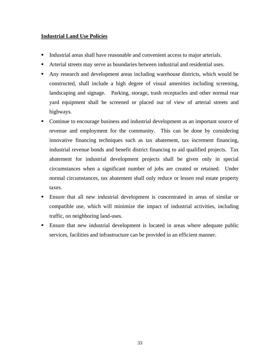### **Industrial Land Use Policies**

- Industrial areas shall have reasonable and convenient access to major arterials.
- Arterial streets may serve as boundaries between industrial and residential uses.
- Any research and development areas including warehouse districts, which would be constructed, shall include a high degree of visual amenities including screening, landscaping and signage. Parking, storage, trash receptacles and other normal rear yard equipment shall be screened or placed out of view of arterial streets and highways.
- Continue to encourage business and industrial development as an important source of revenue and employment for the community. This can be done by considering innovative financing techniques such as tax abatement, tax increment financing, industrial revenue bonds and benefit district financing to aid qualified projects. Tax abatement for industrial development projects shall be given only in special circumstances when a significant number of jobs are created or retained. Under normal circumstances, tax abatement shall only reduce or lessen real estate property taxes.
- Ensure that all new industrial development is concentrated in areas of similar or compatible use, which will minimize the impact of industrial activities, including traffic, on neighboring land-uses.
- Ensure that new industrial development is located in areas where adequate public services, facilities and infrastructure can be provided in an efficient manner.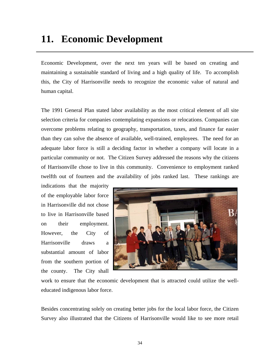# **11. Economic Development**

Economic Development, over the next ten years will be based on creating and maintaining a sustainable standard of living and a high quality of life. To accomplish this, the City of Harrisonville needs to recognize the economic value of natural and human capital.

The 1991 General Plan stated labor availability as the most critical element of all site selection criteria for companies contemplating expansions or relocations. Companies can overcome problems relating to geography, transportation, taxes, and finance far easier than they can solve the absence of available, well-trained, employees. The need for an adequate labor force is still a deciding factor in whether a company will locate in a particular community or not. The Citizen Survey addressed the reasons why the citizens of Harrisonville chose to live in this community. Convenience to employment ranked twelfth out of fourteen and the availability of jobs ranked last. These rankings are

indications that the majority of the employable labor force in Harrisonville did not chose to live in Harrisonville based on their employment. However, the City of Harrisonville draws a substantial amount of labor from the southern portion of the county. The City shall



work to ensure that the economic development that is attracted could utilize the welleducated indigenous labor force.

Besides concentrating solely on creating better jobs for the local labor force, the Citizen Survey also illustrated that the Citizens of Harrisonville would like to see more retail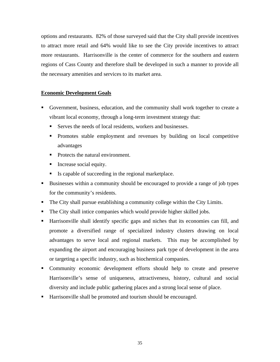options and restaurants. 82% of those surveyed said that the City shall provide incentives to attract more retail and 64% would like to see the City provide incentives to attract more restaurants. Harrisonville is the center of commerce for the southern and eastern regions of Cass County and therefore shall be developed in such a manner to provide all the necessary amenities and services to its market area.

### **Economic Development Goals**

- Government, business, education, and the community shall work together to create a vibrant local economy, through a long-term investment strategy that:
	- Serves the needs of local residents, workers and businesses.
	- Promotes stable employment and revenues by building on local competitive advantages
	- Protects the natural environment.
	- Increase social equity.
	- Is capable of succeeding in the regional marketplace.
- Businesses within a community should be encouraged to provide a range of job types for the community's residents.
- The City shall pursue establishing a community college within the City Limits.
- The City shall intice companies which would provide higher skilled jobs.
- Harrisonville shall identify specific gaps and niches that its economies can fill, and promote a diversified range of specialized industry clusters drawing on local advantages to serve local and regional markets. This may be accomplished by expanding the airport and encouraging business park type of development in the area or targeting a specific industry, such as biochemical companies.
- Community economic development efforts should help to create and preserve Harrisonville's sense of uniqueness, attractiveness, history, cultural and social diversity and include public gathering places and a strong local sense of place.
- Harrisonville shall be promoted and tourism should be encouraged.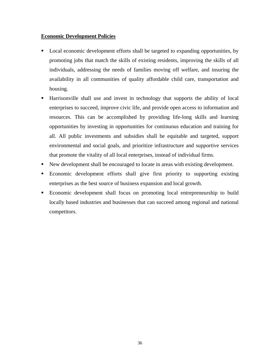### **Economic Development Policies**

- Local economic development efforts shall be targeted to expanding opportunities, by promoting jobs that match the skills of existing residents, improving the skills of all individuals, addressing the needs of families moving off welfare, and insuring the availability in all communities of quality affordable child care, transportation and housing.
- Harrisonville shall use and invest in technology that supports the ability of local enterprises to succeed, improve civic life, and provide open access to information and resources. This can be accomplished by providing life-long skills and learning opportunities by investing in opportunities for continuous education and training for all. All public investments and subsidies shall be equitable and targeted, support environmental and social goals, and prioritize infrastructure and supportive services that promote the vitality of all local enterprises, instead of individual firms.
- New development shall be encouraged to locate in areas with existing development.
- Economic development efforts shall give first priority to supporting existing enterprises as the best source of business expansion and local growth.
- Economic development shall focus on promoting local entrepreneurship to build locally based industries and businesses that can succeed among regional and national competitors.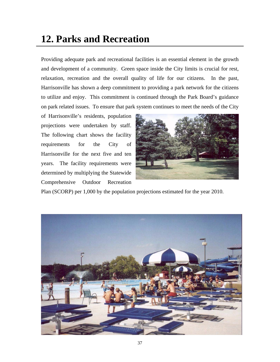# **12. Parks and Recreation**

Providing adequate park and recreational facilities is an essential element in the growth and development of a community. Green space inside the City limits is crucial for rest, relaxation, recreation and the overall quality of life for our citizens. In the past, Harrisonville has shown a deep commitment to providing a park network for the citizens to utilize and enjoy. This commitment is continued through the Park Board's guidance on park related issues. To ensure that park system continues to meet the needs of the City

of Harrisonville's residents, population projections were undertaken by staff. The following chart shows the facility requirements for the City of Harrisonville for the next five and ten years. The facility requirements were determined by multiplying the Statewide Comprehensive Outdoor Recreation



Plan (SCORP) per 1,000 by the population projections estimated for the year 2010.

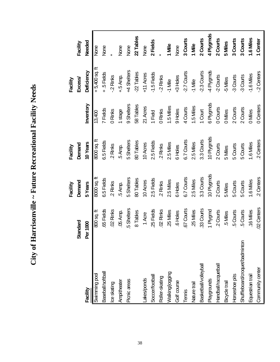| N NHT FOOT<br>L'aun<br>į<br>ľ                            |
|----------------------------------------------------------|
| $\frac{1}{2}$<br>$\frac{1}{2}$<br>Í                      |
| י<br>ג<br>)」 Thini<br>I                                  |
| $\frac{1}{2}$<br><b>LITTLE CONTAINS LE</b><br> <br> <br> |
| $\mathbf{y}$ of the $\mathbf{y}$                         |
| $\overline{\text{Citv}}$ o                               |

|                                |                       | Facility   | Facility    |                                               | Facility                               |               |
|--------------------------------|-----------------------|------------|-------------|-----------------------------------------------|----------------------------------------|---------------|
|                                | Standard              | Demand     | Demand      |                                               | <b>Excess/</b>                         | Facility      |
| Facility                       | Per 1000              | 5 Years    | 10 Years    | Inventory                                     | Deficiency                             | <b>Needed</b> |
| Swimming pool                  | $800$ sq. ft          | 14 to 0008 | 8000 sq. ft | 13,400                                        | $+5,400$ sq. ft                        | lone          |
| Baseball/softball              | 65 Fields             | 6.5 Fields | 6.5 Fields  | <sup>r</sup> Fields                           | +.5 Fields                             | None          |
| Ice skating                    | .02 Rinks             | 2 Rinks    | .2 Rinks    | 0 Rinks                                       | -2 Rinks                               |               |
| Ampitheater                    | .05 Amp.              | .5 Amp.    | 5 Amp.      | 1 stage                                       | $+5$ Amp.                              | None          |
| Picnic areas                   | .5 Shelters           | 5 Shelters | 5 Shelters  | 9 Shelters                                    | +4 Shelters                            | None          |
|                                | 8 Tables              | 80 Tables  | 80 Tables   | 58 Tables                                     | $-22$ Tables                           | 22 Tables     |
| akes/ponds                     | 1 Acre                | 10 Acres   | 10 Acres    | 21 Acres                                      | +11 Acres<br>-1.5 Fields               | None          |
| <b>Soccer/football</b>         | .25 Fields            | 2.5 Fields | 2.5 Fields  | 1 Field                                       |                                        | 2 Fields      |
| Roller-skating                 | .02 Rinks             | .2 Rinks   | 2 Rinks     | 0 Rinks                                       | -2 Rinks                               |               |
| Walking/jogging                | .25 Miles             | 2.5 Miles  | 2.5 Miles   | 1.5 Miles                                     | -1 Mile                                | Mile          |
| Golf course                    | .6 Holes              | 6 Holes    | 6 Holes     | $9$ Holes                                     | +3 Holes                               | None          |
| Tennis                         | .67 Courts            | 6.7 Courts | 6.7 Courts  | 4 Courts                                      | $-2.7$ Courts                          | 3 Courts      |
| Nature trail                   | .25 Miles             | 2.5 Miles  | 2.5 Miles   |                                               | 1 Mile                                 | I Mile        |
| Basketball/volleyball          | .33 Courts            | 3.3 Courts | 3.3 Courts  |                                               |                                        | 2 Courts      |
| Playgrounds                    | 1 Plygrnd<br>2 Courts | 10 Plygmds | 10 Plygmds  | 1.5 Miles<br>1 Court<br>6 Plygmds<br>0 Courts | -2.3 Courts<br>-4 Plygmds<br>-2 Courts | 4 Plygmds     |
| Handball/racquetball           |                       | 2 Courts   | 2 Courts    |                                               |                                        | 2 Courts      |
| Bicyde trail                   | .5 Miles              | 5 Miles    | 5 Miles     | 0 Miles                                       | 5 Miles                                | 5 Miles       |
| Horseshoe pits                 | .5 Courts             | 5 Courts   | 5 Courts    | 2 Courts                                      | -3 Courts                              | 3 Courts      |
| Shuffleboard/croquet/badminton | .5 Courts             | 5 Courts   | 5 Courts    | 2 Courts                                      | -3 Courts                              | 3 Courts      |
| Equestrian trail               | .16 Miles             | 1.6 Miles  | 1.6 Miles   | 0 Miles                                       | $-1.6$ Miles                           | 1.6 Miles     |
| Community center               | 02 Centers            | 2 Centers  | 2 Centers   | 0 Centers                                     | .2 Centers                             | I Center      |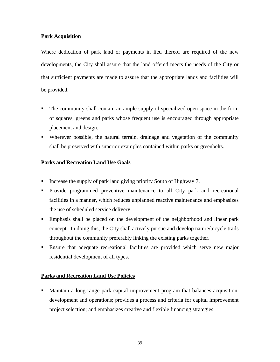### **Park Acquisition**

Where dedication of park land or payments in lieu thereof are required of the new developments, the City shall assure that the land offered meets the needs of the City or that sufficient payments are made to assure that the appropriate lands and facilities will be provided.

- The community shall contain an ample supply of specialized open space in the form of squares, greens and parks whose frequent use is encouraged through appropriate placement and design.
- Wherever possible, the natural terrain, drainage and vegetation of the community shall be preserved with superior examples contained within parks or greenbelts.

#### **Parks and Recreation Land Use Goals**

- Increase the supply of park land giving priority South of Highway 7.
- **Provide programmed preventive maintenance to all City park and recreational** facilities in a manner, which reduces unplanned reactive maintenance and emphasizes the use of scheduled service delivery.
- Emphasis shall be placed on the development of the neighborhood and linear park concept. In doing this, the City shall actively pursue and develop nature/bicycle trails throughout the community preferably linking the existing parks together.
- Ensure that adequate recreational facilities are provided which serve new major residential development of all types.

# **Parks and Recreation Land Use Policies**

 Maintain a long-range park capital improvement program that balances acquisition, development and operations; provides a process and criteria for capital improvement project selection; and emphasizes creative and flexible financing strategies.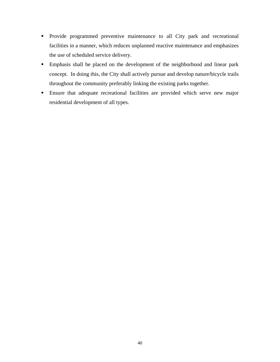- **Provide programmed preventive maintenance to all City park and recreational** facilities in a manner, which reduces unplanned reactive maintenance and emphasizes the use of scheduled service delivery.
- Emphasis shall be placed on the development of the neighborhood and linear park concept. In doing this, the City shall actively pursue and develop nature/bicycle trails throughout the community preferably linking the existing parks together.
- Ensure that adequate recreational facilities are provided which serve new major residential development of all types.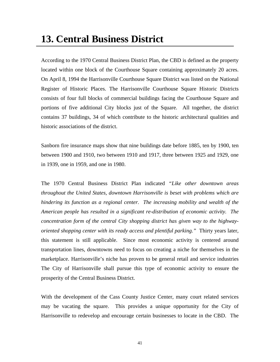According to the 1970 Central Business District Plan, the CBD is defined as the property located within one block of the Courthouse Square containing approximately 20 acres. On April 8, 1994 the Harrisonville Courthouse Square District was listed on the National Register of Historic Places. The Harrisonville Courthouse Square Historic Districts consists of four full blocks of commercial buildings facing the Courthouse Square and portions of five additional City blocks just of the Square. All together, the district contains 37 buildings, 34 of which contribute to the historic architectural qualities and historic associations of the district.

Sanborn fire insurance maps show that nine buildings date before 1885, ten by 1900, ten between 1900 and 1910, two between 1910 and 1917, three between 1925 and 1929, one in 1939, one in 1959, and one in 1980.

The 1970 Central Business District Plan indicated *"Like other downtown areas throughout the United States, downtown Harrisonville is beset with problems which are hindering its function as a regional center. The increasing mobility and wealth of the American people has resulted in a significant re-distribution of economic activity. The concentration form of the central City shopping district has given way to the highwayoriented shopping center with its ready access and plentiful parking."* Thirty years later, this statement is still applicable. Since most economic activity is centered around transportation lines, downtowns need to focus on creating a niche for themselves in the marketplace. Harrisonville's niche has proven to be general retail and service industries The City of Harrisonville shall pursue this type of economic activity to ensure the prosperity of the Central Business District.

With the development of the Cass County Justice Center, many court related services may be vacating the square. This provides a unique opportunity for the City of Harrisonville to redevelop and encourage certain businesses to locate in the CBD. The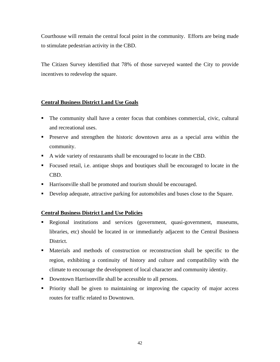Courthouse will remain the central focal point in the community. Efforts are being made to stimulate pedestrian activity in the CBD.

The Citizen Survey identified that 78% of those surveyed wanted the City to provide incentives to redevelop the square.

### **Central Business District Land Use Goals**

- The community shall have a center focus that combines commercial, civic, cultural and recreational uses.
- **Preserve and strengthen the historic downtown area as a special area within the** community.
- A wide variety of restaurants shall be encouraged to locate in the CBD.
- Focused retail, i.e. antique shops and boutiques shall be encouraged to locate in the CBD.
- Harrisonville shall be promoted and tourism should be encouraged.
- Develop adequate, attractive parking for automobiles and buses close to the Square.

# **Central Business District Land Use Policies**

- Regional institutions and services (government, quasi-government, museums, libraries, etc) should be located in or immediately adjacent to the Central Business District.
- Materials and methods of construction or reconstruction shall be specific to the region, exhibiting a continuity of history and culture and compatibility with the climate to encourage the development of local character and community identity.
- Downtown Harrisonville shall be accessible to all persons.
- **Priority shall be given to maintaining or improving the capacity of major access** routes for traffic related to Downtown.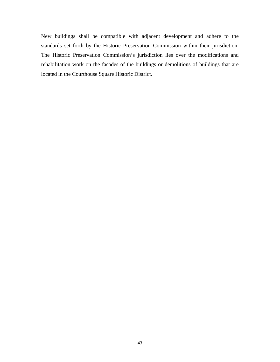New buildings shall be compatible with adjacent development and adhere to the standards set forth by the Historic Preservation Commission within their jurisdiction. The Historic Preservation Commission's jurisdiction lies over the modifications and rehabilitation work on the facades of the buildings or demolitions of buildings that are located in the Courthouse Square Historic District.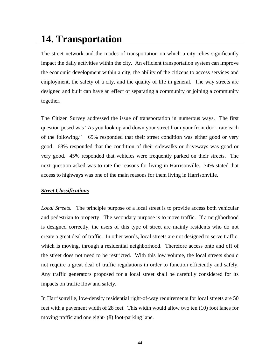# **14. Transportation**

The street network and the modes of transportation on which a city relies significantly impact the daily activities within the city. An efficient transportation system can improve the economic development within a city, the ability of the citizens to access services and employment, the safety of a city, and the quality of life in general. The way streets are designed and built can have an effect of separating a community or joining a community together.

The Citizen Survey addressed the issue of transportation in numerous ways. The first question posed was "As you look up and down your street from your front door, rate each of the following." 69% responded that their street condition was either good or very good. 68% responded that the condition of their sidewalks or driveways was good or very good. 45% responded that vehicles were frequently parked on their streets. The next question asked was to rate the reasons for living in Harrisonville. 74% stated that access to highways was one of the main reasons for them living in Harrisonville.

# *Street Classifications*

*Local Streets.* The principle purpose of a local street is to provide access both vehicular and pedestrian to property. The secondary purpose is to move traffic. If a neighborhood is designed correctly, the users of this type of street are mainly residents who do not create a great deal of traffic. In other words, local streets are not designed to serve traffic, which is moving, through a residential neighborhood. Therefore access onto and off of the street does not need to be restricted. With this low volume, the local streets should not require a great deal of traffic regulations in order to function efficiently and safely. Any traffic generators proposed for a local street shall be carefully considered for its impacts on traffic flow and safety.

In Harrisonville, low-density residential right-of-way requirements for local streets are 50 feet with a pavement width of 28 feet. This width would allow two ten (10) foot lanes for moving traffic and one eight- (8) foot-parking lane.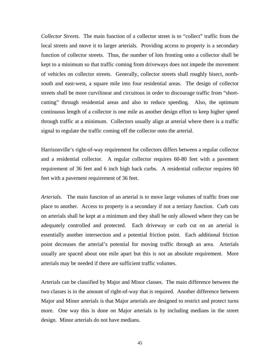*Collector Streets.* The main function of a collector street is to "collect" traffic from the local streets and move it to larger arterials. Providing access to property is a secondary function of collector streets. Thus, the number of lots fronting onto a collector shall be kept to a minimum so that traffic coming from driveways does not impede the movement of vehicles on collector streets. Generally, collector streets shall roughly bisect, northsouth and east-west, a square mile into four residential areas. The design of collector streets shall be more curvilinear and circuitous in order to discourage traffic from "shortcutting" through residential areas and also to reduce speeding. Also, the optimum continuous length of a collector is one mile as another design effort to keep higher speed through traffic at a minimum. Collectors usually align at arterial where there is a traffic signal to regulate the traffic coming off the collector onto the arterial.

Harrisonville's right-of-way requirement for collectors differs between a regular collector and a residential collector. A regular collector requires 60-80 feet with a pavement requirement of 36 feet and 6 inch high back curbs. A residential collector requires 60 feet with a pavement requirement of 36 feet.

*Arterials.* The main function of an arterial is to move large volumes of traffic from one place to another. Access to property is a secondary if not a tertiary function. Curb cuts on arterials shall be kept at a minimum and they shall be only allowed where they can be adequately controlled and protected. Each driveway or curb cut on an arterial is essentially another intersection and a potential friction point. Each additional friction point decreases the arterial's potential for moving traffic through an area. Arterials usually are spaced about one mile apart but this is not an absolute requirement. More arterials may be needed if there are sufficient traffic volumes.

Arterials can be classified by Major and Minor classes. The main difference between the two classes is in the amount of right-of-way that is required. Another difference between Major and Minor arterials is that Major arterials are designed to restrict and protect turns more. One way this is done on Major arterials is by including medians in the street design. Minor arterials do not have medians.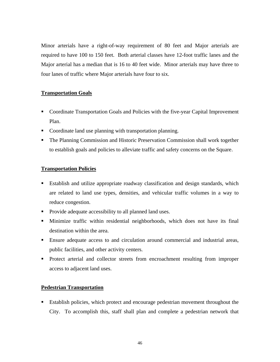Minor arterials have a right-of-way requirement of 80 feet and Major arterials are required to have 100 to 150 feet. Both arterial classes have 12-foot traffic lanes and the Major arterial has a median that is 16 to 40 feet wide. Minor arterials may have three to four lanes of traffic where Major arterials have four to six.

### **Transportation Goals**

- Coordinate Transportation Goals and Policies with the five-year Capital Improvement Plan.
- Coordinate land use planning with transportation planning.
- The Planning Commission and Historic Preservation Commission shall work together to establish goals and policies to alleviate traffic and safety concerns on the Square.

#### **Transportation Policies**

- Establish and utilize appropriate roadway classification and design standards, which are related to land use types, densities, and vehicular traffic volumes in a way to reduce congestion.
- Provide adequate accessibility to all planned land uses.
- Minimize traffic within residential neighborhoods, which does not have its final destination within the area.
- Ensure adequate access to and circulation around commercial and industrial areas, public facilities, and other activity centers.
- Protect arterial and collector streets from encroachment resulting from improper access to adjacent land uses.

#### **Pedestrian Transportation**

 Establish policies, which protect and encourage pedestrian movement throughout the City. To accomplish this, staff shall plan and complete a pedestrian network that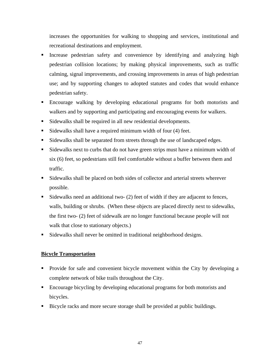increases the opportunities for walking to shopping and services, institutional and recreational destinations and employment.

- Increase pedestrian safety and convenience by identifying and analyzing high pedestrian collision locations; by making physical improvements, such as traffic calming, signal improvements, and crossing improvements in areas of high pedestrian use; and by supporting changes to adopted statutes and codes that would enhance pedestrian safety.
- Encourage walking by developing educational programs for both motorists and walkers and by supporting and participating and encouraging events for walkers.
- Sidewalks shall be required in all new residential developments.
- Sidewalks shall have a required minimum width of four (4) feet.
- Sidewalks shall be separated from streets through the use of landscaped edges.
- Sidewalks next to curbs that do not have green strips must have a minimum width of six (6) feet, so pedestrians still feel comfortable without a buffer between them and traffic.
- Sidewalks shall be placed on both sides of collector and arterial streets wherever possible.
- Sidewalks need an additional two- (2) feet of width if they are adjacent to fences, walls, building or shrubs. (When these objects are placed directly next to sidewalks, the first two- (2) feet of sidewalk are no longer functional because people will not walk that close to stationary objects.)
- Sidewalks shall never be omitted in traditional neighborhood designs.

# **Bicycle Transportation**

- **Provide for safe and convenient bicycle movement within the City by developing a** complete network of bike trails throughout the City.
- Encourage bicycling by developing educational programs for both motorists and bicycles.
- Bicycle racks and more secure storage shall be provided at public buildings.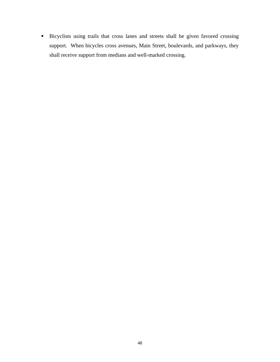Bicyclists using trails that cross lanes and streets shall be given favored crossing support. When bicycles cross avenues, Main Street, boulevards, and parkways, they shall receive support from medians and well-marked crossing.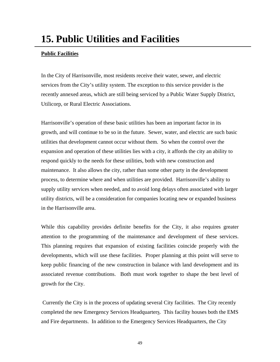# **15. Public Utilities and Facilities**

### **Public Facilities**

In the City of Harrisonville, most residents receive their water, sewer, and electric services from the City's utility system. The exception to this service provider is the recently annexed areas, which are still being serviced by a Public Water Supply District, Utilicorp, or Rural Electric Associations.

Harrisonville's operation of these basic utilities has been an important factor in its growth, and will continue to be so in the future. Sewer, water, and electric are such basic utilities that development cannot occur without them. So when the control over the expansion and operation of these utilities lies with a city, it affords the city an ability to respond quickly to the needs for these utilities, both with new construction and maintenance. It also allows the city, rather than some other party in the development process, to determine where and when utilities are provided. Harrisonville's ability to supply utility services when needed, and to avoid long delays often associated with larger utility districts, will be a consideration for companies locating new or expanded business in the Harrisonville area.

While this capability provides definite benefits for the City, it also requires greater attention to the programming of the maintenance and development of these services. This planning requires that expansion of existing facilities coincide properly with the developments, which will use these facilities. Proper planning at this point will serve to keep public financing of the new construction in balance with land development and its associated revenue contributions. Both must work together to shape the best level of growth for the City.

 Currently the City is in the process of updating several City facilities. The City recently completed the new Emergency Services Headquarters. This facility houses both the EMS and Fire departments. In addition to the Emergency Services Headquarters, the City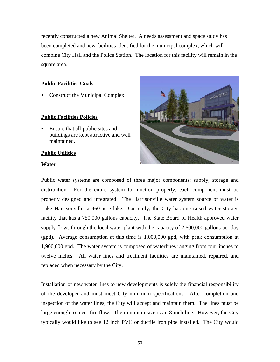recently constructed a new Animal Shelter. A needs assessment and space study has been completed and new facilities identified for the municipal complex, which will combine City Hall and the Police Station. The location for this facility will remain in the square area.

#### **Public Facilities Goals**

• Construct the Municipal Complex.

#### **Public Facilities Policies**

 Ensure that all-public sites and buildings are kept attractive and well maintained.

#### **Public Utilities**

#### **Water**



Public water systems are composed of three major components: supply, storage and distribution. For the entire system to function properly, each component must be properly designed and integrated. The Harrisonville water system source of water is Lake Harrisonville, a 460-acre lake. Currently, the City has one raised water storage facility that has a 750,000 gallons capacity. The State Board of Health approved water supply flows through the local water plant with the capacity of 2,600,000 gallons per day (gpd). Average consumption at this time is 1,000,000 gpd, with peak consumption at 1,900,000 gpd. The water system is composed of waterlines ranging from four inches to twelve inches. All water lines and treatment facilities are maintained, repaired, and replaced when necessary by the City.

Installation of new water lines to new developments is solely the financial responsibility of the developer and must meet City minimum specifications. After completion and inspection of the water lines, the City will accept and maintain them. The lines must be large enough to meet fire flow. The minimum size is an 8-inch line. However, the City typically would like to see 12 inch PVC or ductile iron pipe installed. The City would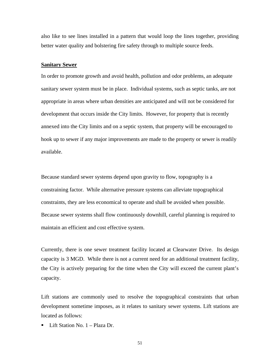also like to see lines installed in a pattern that would loop the lines together, providing better water quality and bolstering fire safety through to multiple source feeds.

#### **Sanitary Sewer**

In order to promote growth and avoid health, pollution and odor problems, an adequate sanitary sewer system must be in place. Individual systems, such as septic tanks, are not appropriate in areas where urban densities are anticipated and will not be considered for development that occurs inside the City limits. However, for property that is recently annexed into the City limits and on a septic system, that property will be encouraged to hook up to sewer if any major improvements are made to the property or sewer is readily available.

Because standard sewer systems depend upon gravity to flow, topography is a constraining factor. While alternative pressure systems can alleviate topographical constraints, they are less economical to operate and shall be avoided when possible. Because sewer systems shall flow continuously downhill, careful planning is required to maintain an efficient and cost effective system.

Currently, there is one sewer treatment facility located at Clearwater Drive. Its design capacity is 3 MGD. While there is not a current need for an additional treatment facility, the City is actively preparing for the time when the City will exceed the current plant's capacity.

Lift stations are commonly used to resolve the topographical constraints that urban development sometime imposes, as it relates to sanitary sewer systems. Lift stations are located as follows:

 $\blacksquare$  Lift Station No. 1 – Plaza Dr.

51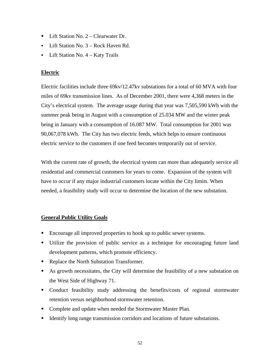- **Lift Station No. 2 Clearwater Dr.**
- **Lift Station No. 3 Rock Haven Rd.**
- Lift Station No.  $4 -$ Katy Trails

#### **Electric**

Electric facilities include three 69kv/12.47kv substations for a total of 60 MVA with four miles of 69kv transmission lines. As of December 2001, there were 4,368 meters in the City's electrical system. The average usage during that year was 7,505,590 kWh with the summer peak being in August with a consumption of 25.034 MW and the winter peak being in January with a consumption of 16.087 MW. Total consumption for 2001 was 90,067,078 kWh. The City has two electric feeds, which helps to ensure continuous electric service to the customers if one feed becomes temporarily out of service.

With the current rate of growth, the electrical system can more than adequately service all residential and commercial customers for years to come. Expansion of the system will have to occur if any major industrial customers locate within the City limits. When needed, a feasibility study will occur to determine the location of the new substation.

# **General Public Utility Goals**

- Encourage all improved properties to hook up to public sewer systems.
- Utilize the provision of public service as a technique for encouraging future land development patterns, which promote efficiency.
- Replace the North Substation Transformer.
- As growth necessitates, the City will determine the feasibility of a new substation on the West Side of Highway 71.
- Conduct feasibility study addressing the benefits/costs of regional stormwater retention versus neighborhood stormwater retention.
- **Complete and update when needed the Stormwater Master Plan.**
- Identify long range transmission corridors and locations of future substations.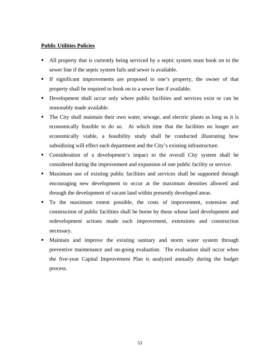#### **Public Utilities Policies**

- All property that is currently being serviced by a septic system must hook on to the sewer line if the septic system fails and sewer is available.
- If significant improvements are proposed to one's property, the owner of that property shall be required to hook on to a sewer line if available.
- Development shall occur only where public facilities and services exist or can be reasonably made available.
- The City shall maintain their own water, sewage, and electric plants as long as it is economically feasible to do so. At which time that the facilities no longer are economically viable, a feasibility study shall be conducted illustrating how subsidizing will effect each department and the City's existing infrastructure.
- Consideration of a development's impact to the overall City system shall be considered during the improvement and expansion of one public facility or service.
- Maximum use of existing public facilities and services shall be supported through encouraging new development to occur at the maximum densities allowed and through the development of vacant land within presently developed areas.
- To the maximum extent possible, the costs of improvement, extension and construction of public facilities shall be borne by those whose land development and redevelopment actions made such improvement, extensions and construction necessary.
- Maintain and improve the existing sanitary and storm water system through preventive maintenance and on-going evaluation. The evaluation shall occur when the five-year Capital Improvement Plan is analyzed annually during the budget process.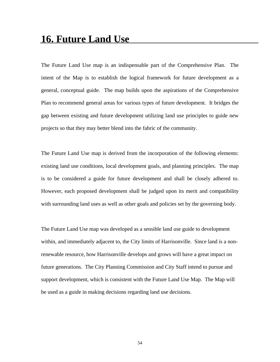# **16. Future Land Use**

The Future Land Use map is an indispensable part of the Comprehensive Plan. The intent of the Map is to establish the logical framework for future development as a general, conceptual guide. The map builds upon the aspirations of the Comprehensive Plan to recommend general areas for various types of future development. It bridges the gap between existing and future development utilizing land use principles to guide new projects so that they may better blend into the fabric of the community.

The Future Land Use map is derived from the incorporation of the following elements: existing land use conditions, local development goals, and planning principles. The map is to be considered a guide for future development and shall be closely adhered to. However, each proposed development shall be judged upon its merit and compatibility with surrounding land uses as well as other goals and policies set by the governing body.

The Future Land Use map was developed as a sensible land use guide to development within, and immediately adjacent to, the City limits of Harrisonville. Since land is a nonrenewable resource, how Harrisonville develops and grows will have a great impact on future generations. The City Planning Commission and City Staff intend to pursue and support development, which is consistent with the Future Land Use Map. The Map will be used as a guide in making decisions regarding land use decisions.